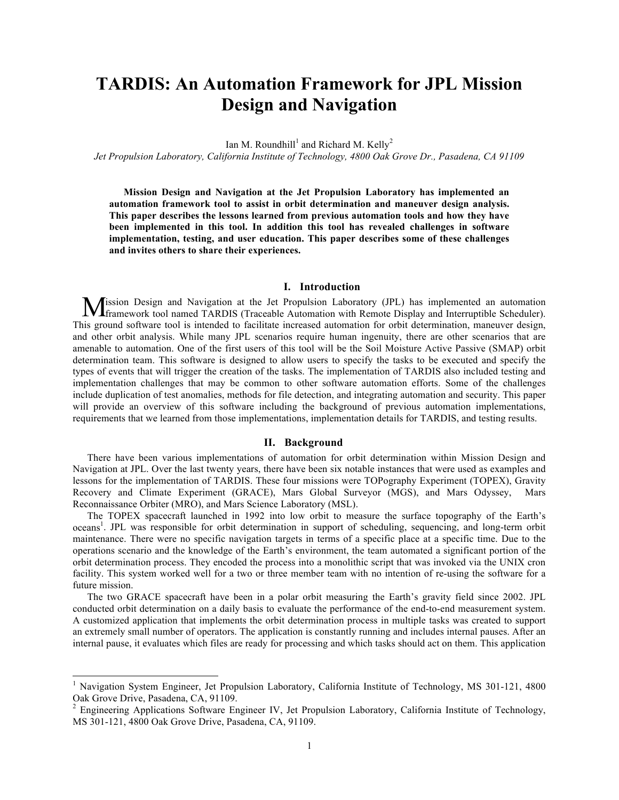# **TARDIS: An Automation Framework for JPL Mission Design and Navigation**

Ian M. Roundhill<sup>1</sup> and Richard M. Kelly<sup>2</sup>

*Jet Propulsion Laboratory, California Institute of Technology, 4800 Oak Grove Dr., Pasadena, CA 91109*

**Mission Design and Navigation at the Jet Propulsion Laboratory has implemented an automation framework tool to assist in orbit determination and maneuver design analysis. This paper describes the lessons learned from previous automation tools and how they have been implemented in this tool. In addition this tool has revealed challenges in software implementation, testing, and user education. This paper describes some of these challenges and invites others to share their experiences.**

# **I. Introduction**

ission Design and Navigation at the Jet Propulsion Laboratory (JPL) has implemented an automation **M**ission Design and Navigation at the Jet Propulsion Laboratory (JPL) has implemented an automation framework tool named TARDIS (Traceable Automation with Remote Display and Interruptible Scheduler). This ground software tool is intended to facilitate increased automation for orbit determination, maneuver design, and other orbit analysis. While many JPL scenarios require human ingenuity, there are other scenarios that are amenable to automation. One of the first users of this tool will be the Soil Moisture Active Passive (SMAP) orbit determination team. This software is designed to allow users to specify the tasks to be executed and specify the types of events that will trigger the creation of the tasks. The implementation of TARDIS also included testing and implementation challenges that may be common to other software automation efforts. Some of the challenges include duplication of test anomalies, methods for file detection, and integrating automation and security. This paper will provide an overview of this software including the background of previous automation implementations, requirements that we learned from those implementations, implementation details for TARDIS, and testing results.

#### **II. Background**

There have been various implementations of automation for orbit determination within Mission Design and Navigation at JPL. Over the last twenty years, there have been six notable instances that were used as examples and lessons for the implementation of TARDIS. These four missions were TOPography Experiment (TOPEX), Gravity Recovery and Climate Experiment (GRACE), Mars Global Surveyor (MGS), and Mars Odyssey, Mars Reconnaissance Orbiter (MRO), and Mars Science Laboratory (MSL).

The TOPEX spacecraft launched in 1992 into low orbit to measure the surface topography of the Earth's oceans<sup>1</sup>. JPL was responsible for orbit determination in support of scheduling, sequencing, and long-term orbit maintenance. There were no specific navigation targets in terms of a specific place at a specific time. Due to the operations scenario and the knowledge of the Earth's environment, the team automated a significant portion of the orbit determination process. They encoded the process into a monolithic script that was invoked via the UNIX cron facility. This system worked well for a two or three member team with no intention of re-using the software for a future mission.

The two GRACE spacecraft have been in a polar orbit measuring the Earth's gravity field since 2002. JPL conducted orbit determination on a daily basis to evaluate the performance of the end-to-end measurement system. A customized application that implements the orbit determination process in multiple tasks was created to support an extremely small number of operators. The application is constantly running and includes internal pauses. After an internal pause, it evaluates which files are ready for processing and which tasks should act on them. This application

<sup>&</sup>lt;sup>1</sup> Navigation System Engineer, Jet Propulsion Laboratory, California Institute of Technology, MS 301-121, 4800 Oak Grove Drive, Pasadena, CA, 91109.

<sup>&</sup>lt;sup>2</sup> Engineering Applications Software Engineer IV, Jet Propulsion Laboratory, California Institute of Technology, MS 301-121, 4800 Oak Grove Drive, Pasadena, CA, 91109.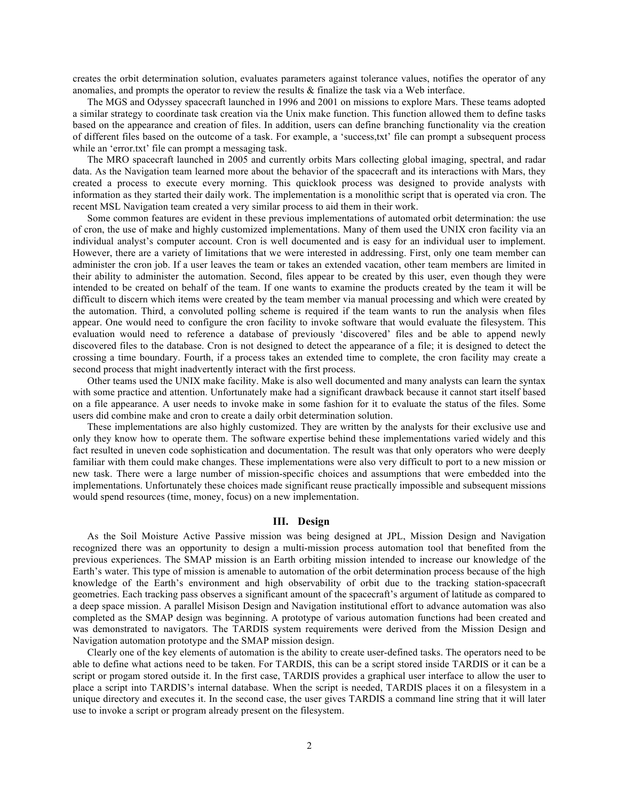creates the orbit determination solution, evaluates parameters against tolerance values, notifies the operator of any anomalies, and prompts the operator to review the results  $\&$  finalize the task via a Web interface.

The MGS and Odyssey spacecraft launched in 1996 and 2001 on missions to explore Mars. These teams adopted a similar strategy to coordinate task creation via the Unix make function. This function allowed them to define tasks based on the appearance and creation of files. In addition, users can define branching functionality via the creation of different files based on the outcome of a task. For example, a 'success,txt' file can prompt a subsequent process while an 'error.txt' file can prompt a messaging task.

The MRO spacecraft launched in 2005 and currently orbits Mars collecting global imaging, spectral, and radar data. As the Navigation team learned more about the behavior of the spacecraft and its interactions with Mars, they created a process to execute every morning. This quicklook process was designed to provide analysts with information as they started their daily work. The implementation is a monolithic script that is operated via cron. The recent MSL Navigation team created a very similar process to aid them in their work.

Some common features are evident in these previous implementations of automated orbit determination: the use of cron, the use of make and highly customized implementations. Many of them used the UNIX cron facility via an individual analyst's computer account. Cron is well documented and is easy for an individual user to implement. However, there are a variety of limitations that we were interested in addressing. First, only one team member can administer the cron job. If a user leaves the team or takes an extended vacation, other team members are limited in their ability to administer the automation. Second, files appear to be created by this user, even though they were intended to be created on behalf of the team. If one wants to examine the products created by the team it will be difficult to discern which items were created by the team member via manual processing and which were created by the automation. Third, a convoluted polling scheme is required if the team wants to run the analysis when files appear. One would need to configure the cron facility to invoke software that would evaluate the filesystem. This evaluation would need to reference a database of previously 'discovered' files and be able to append newly discovered files to the database. Cron is not designed to detect the appearance of a file; it is designed to detect the crossing a time boundary. Fourth, if a process takes an extended time to complete, the cron facility may create a second process that might inadvertently interact with the first process.

Other teams used the UNIX make facility. Make is also well documented and many analysts can learn the syntax with some practice and attention. Unfortunately make had a significant drawback because it cannot start itself based on a file appearance. A user needs to invoke make in some fashion for it to evaluate the status of the files. Some users did combine make and cron to create a daily orbit determination solution.

These implementations are also highly customized. They are written by the analysts for their exclusive use and only they know how to operate them. The software expertise behind these implementations varied widely and this fact resulted in uneven code sophistication and documentation. The result was that only operators who were deeply familiar with them could make changes. These implementations were also very difficult to port to a new mission or new task. There were a large number of mission-specific choices and assumptions that were embedded into the implementations. Unfortunately these choices made significant reuse practically impossible and subsequent missions would spend resources (time, money, focus) on a new implementation.

#### **III. Design**

As the Soil Moisture Active Passive mission was being designed at JPL, Mission Design and Navigation recognized there was an opportunity to design a multi-mission process automation tool that benefited from the previous experiences. The SMAP mission is an Earth orbiting mission intended to increase our knowledge of the Earth's water. This type of mission is amenable to automation of the orbit determination process because of the high knowledge of the Earth's environment and high observability of orbit due to the tracking station-spacecraft geometries. Each tracking pass observes a significant amount of the spacecraft's argument of latitude as compared to a deep space mission. A parallel Misison Design and Navigation institutional effort to advance automation was also completed as the SMAP design was beginning. A prototype of various automation functions had been created and was demonstrated to navigators. The TARDIS system requirements were derived from the Mission Design and Navigation automation prototype and the SMAP mission design.

Clearly one of the key elements of automation is the ability to create user-defined tasks. The operators need to be able to define what actions need to be taken. For TARDIS, this can be a script stored inside TARDIS or it can be a script or progam stored outside it. In the first case, TARDIS provides a graphical user interface to allow the user to place a script into TARDIS's internal database. When the script is needed, TARDIS places it on a filesystem in a unique directory and executes it. In the second case, the user gives TARDIS a command line string that it will later use to invoke a script or program already present on the filesystem.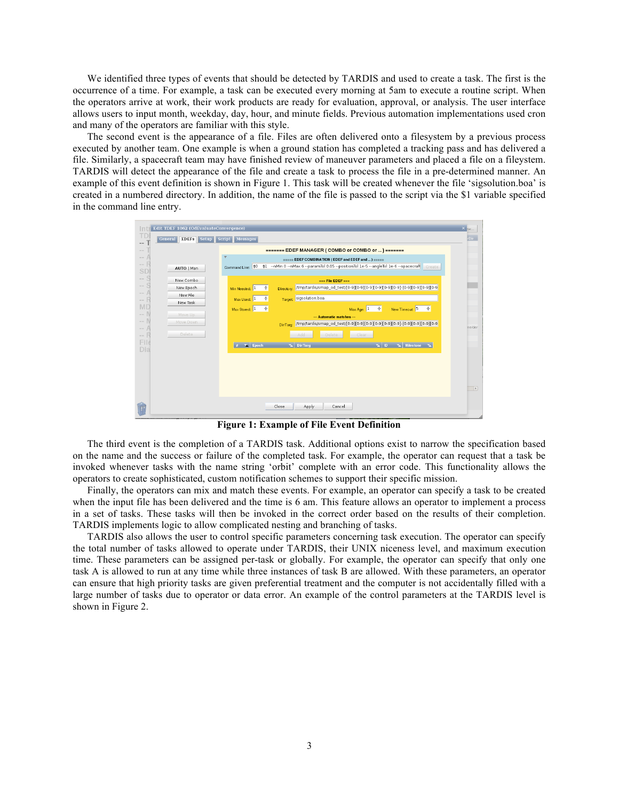We identified three types of events that should be detected by TARDIS and used to create a task. The first is the occurrence of a time. For example, a task can be executed every morning at 5am to execute a routine script. When the operators arrive at work, their work products are ready for evaluation, approval, or analysis. The user interface allows users to input month, weekday, day, hour, and minute fields. Previous automation implementations used cron and many of the operators are familiar with this style.

The second event is the appearance of a file. Files are often delivered onto a filesystem by a previous process executed by another team. One example is when a ground station has completed a tracking pass and has delivered a file. Similarly, a spacecraft team may have finished review of maneuver parameters and placed a file on a fileystem. TARDIS will detect the appearance of the file and create a task to process the file in a pre-determined manner. An example of this event definition is shown in Figure 1. This task will be created whenever the file 'sigsolution.boa' is created in a numbered directory. In addition, the name of the file is passed to the script via the \$1 variable specified in the command line entry.

| In                          | Edit TDEF 1062 (OdEvaluateConvergence)            |                                                                                                                   | $\times$ BW                   |  |  |  |  |  |
|-----------------------------|---------------------------------------------------|-------------------------------------------------------------------------------------------------------------------|-------------------------------|--|--|--|--|--|
|                             | General <b>EDEFs</b> Setup                        | Script Messages                                                                                                   | rDir                          |  |  |  |  |  |
| $\sim$ $\sim$<br>$\sim$     | <b>EDEFERICA (COMBO or COMBO or ) EDEFERICAL</b>  |                                                                                                                   |                               |  |  |  |  |  |
| $\sim$ $-$                  | ===== EDEF COMBINATION (EDEF and EDEF and ) ===== |                                                                                                                   |                               |  |  |  |  |  |
| $\sim$<br>SD                | AUTO   Man                                        | \$1 --nMin 0 --nMax 6 --paramTol 0.05 --positionTol 1e-5 --angleTol 1e-6 --spacecrafl Create<br>Command Line: \$0 |                               |  |  |  |  |  |
| $\sim$ $-$                  | New Combo                                         | and File EDEF and                                                                                                 |                               |  |  |  |  |  |
| $\sim$                      | New Epoch                                         | Min Needed: $\boxed{1 - \frac{4}{7}}$<br>Directory                                                                |                               |  |  |  |  |  |
| $\sim$ $-$<br>$\sim$ $\sim$ | New File                                          | sigsolution.boa<br>Max Used: $1 \quad \frac{4}{7}$<br>Target:                                                     |                               |  |  |  |  |  |
| MD                          | New Task                                          | Max Age: $1 + \frac{4}{7}$<br>Max Stored: $1 + \frac{4}{7}$<br>New Timeout $5 \frac{4}{7}$                        |                               |  |  |  |  |  |
| $\sim$                      | Move Up                                           | --- Automatic matches ---                                                                                         |                               |  |  |  |  |  |
| $\sim$ $\sim$               | Move Down                                         | Dir/Targ:                                                                                                         | ne/der                        |  |  |  |  |  |
| $\sim$<br>$\sim$            | Delete                                            | Clear<br>Add<br>Delete                                                                                            |                               |  |  |  |  |  |
| File                        |                                                   | $\mathbf{F}$ Epoch<br>$X$ ID<br><b>X</b> Milestone <b>X</b><br><b>Val</b> Dir/Tarq                                |                               |  |  |  |  |  |
| Dia                         |                                                   |                                                                                                                   |                               |  |  |  |  |  |
|                             |                                                   |                                                                                                                   |                               |  |  |  |  |  |
|                             |                                                   |                                                                                                                   |                               |  |  |  |  |  |
|                             |                                                   |                                                                                                                   |                               |  |  |  |  |  |
|                             |                                                   |                                                                                                                   | $\boxed{\blacktriangleright}$ |  |  |  |  |  |
|                             |                                                   |                                                                                                                   |                               |  |  |  |  |  |
|                             |                                                   | Close<br>Apply<br>Cancel                                                                                          |                               |  |  |  |  |  |
|                             |                                                   |                                                                                                                   |                               |  |  |  |  |  |

**Figure 1: Example of File Event Definition**

The third event is the completion of a TARDIS task. Additional options exist to narrow the specification based on the name and the success or failure of the completed task. For example, the operator can request that a task be invoked whenever tasks with the name string 'orbit' complete with an error code. This functionality allows the operators to create sophisticated, custom notification schemes to support their specific mission.

Finally, the operators can mix and match these events. For example, an operator can specify a task to be created when the input file has been delivered and the time is 6 am. This feature allows an operator to implement a process in a set of tasks. These tasks will then be invoked in the correct order based on the results of their completion. TARDIS implements logic to allow complicated nesting and branching of tasks.

TARDIS also allows the user to control specific parameters concerning task execution. The operator can specify the total number of tasks allowed to operate under TARDIS, their UNIX niceness level, and maximum execution time. These parameters can be assigned per-task or globally. For example, the operator can specify that only one task A is allowed to run at any time while three instances of task B are allowed. With these parameters, an operator can ensure that high priority tasks are given preferential treatment and the computer is not accidentally filled with a large number of tasks due to operator or data error. An example of the control parameters at the TARDIS level is shown in Figure 2.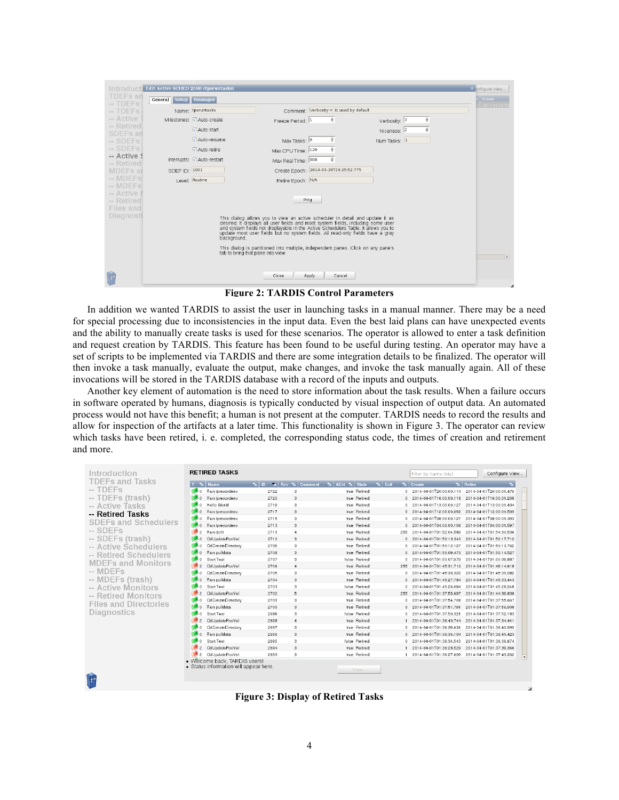|                                    | <b>IN ITOO UCIT Edit Active SCHED 2588 (tpsruntasks)</b>                                                                                                                                                                                                                                                                                              |                            |                                         |                   | × onfigure View |  |  |  |  |
|------------------------------------|-------------------------------------------------------------------------------------------------------------------------------------------------------------------------------------------------------------------------------------------------------------------------------------------------------------------------------------------------------|----------------------------|-----------------------------------------|-------------------|-----------------|--|--|--|--|
| <b>TDEFs</b> an<br><b>DEEs</b>     | General Setup Messages                                                                                                                                                                                                                                                                                                                                |                            |                                         |                   | A Create        |  |  |  |  |
| $-$ TDFFs                          |                                                                                                                                                                                                                                                                                                                                                       | Name: tpsruntasks          | Comment: Verbosity = 3; used by default |                   | 1 2014-03-26T2  |  |  |  |  |
| -- Active                          |                                                                                                                                                                                                                                                                                                                                                       | Milestones: △ Auto-create  | Freeze Period: 1<br>÷                   | ÷<br>Verbosity: 3 |                 |  |  |  |  |
| -- Retired<br>SDEF <sub>s</sub> an |                                                                                                                                                                                                                                                                                                                                                       | ■ Auto-start               |                                         | ÷<br>Niceness: 2  |                 |  |  |  |  |
| -- SDEFs                           |                                                                                                                                                                                                                                                                                                                                                       | ■ Auto-resume              | Max Tasks: 8<br>÷                       | Num Tasks: 1      |                 |  |  |  |  |
| $-$ SDEFs                          |                                                                                                                                                                                                                                                                                                                                                       | ■ Auto-retire              | ÷<br>Max CPU Time: 120                  |                   |                 |  |  |  |  |
| -- Active \$<br>-- Retired         |                                                                                                                                                                                                                                                                                                                                                       | Interrupts: △ Auto-restart | ÷<br>Max Real Time: 900                 |                   |                 |  |  |  |  |
| <b>MDEFs</b> ar                    | SDEF ID: 1001                                                                                                                                                                                                                                                                                                                                         |                            | Create Epoch: 2014-03-26T23:25:52.775   |                   |                 |  |  |  |  |
| -- MDEFs<br>-- MDEFs               |                                                                                                                                                                                                                                                                                                                                                       | Level: Routine             | Retire Epoch: N/A                       |                   |                 |  |  |  |  |
| -- Active I                        |                                                                                                                                                                                                                                                                                                                                                       |                            |                                         |                   |                 |  |  |  |  |
| -- Retired                         |                                                                                                                                                                                                                                                                                                                                                       |                            | Ping                                    |                   |                 |  |  |  |  |
| Files and<br>Diagnosti             |                                                                                                                                                                                                                                                                                                                                                       |                            |                                         |                   |                 |  |  |  |  |
|                                    | This dialog allows you to view an active scheduler in detail and update it as<br>desired. It displays all user fields and most system fields, including some user and system fields not displayable in the Active Schedulers Table. It allows you to<br>update most user fields but no system fields. All read-only fields have a gray<br>background. |                            |                                         |                   |                 |  |  |  |  |
|                                    | This dialog is partitioned into multiple, independent panes. Click on any pane's<br>tab to bring that pane into view.                                                                                                                                                                                                                                 |                            |                                         |                   |                 |  |  |  |  |
|                                    |                                                                                                                                                                                                                                                                                                                                                       | Close                      | Apply<br>Cancel                         |                   |                 |  |  |  |  |

**Figure 2: TARDIS Control Parameters**

In addition we wanted TARDIS to assist the user in launching tasks in a manual manner. There may be a need for special processing due to inconsistencies in the input data. Even the best laid plans can have unexpected events and the ability to manually create tasks is used for these scenarios. The operator is allowed to enter a task definition and request creation by TARDIS. This feature has been found to be useful during testing. An operator may have a set of scripts to be implemented via TARDIS and there are some integration details to be finalized. The operator will then invoke a task manually, evaluate the output, make changes, and invoke the task manually again. All of these invocations will be stored in the TARDIS database with a record of the inputs and outputs.

Another key element of automation is the need to store information about the task results. When a failure occurs in software operated by humans, diagnosis is typically conducted by visual inspection of output data. An automated process would not have this benefit; a human is not present at the computer. TARDIS needs to record the results and allow for inspection of the artifacts at a later time. This functionality is shown in Figure 3. The operator can review which tasks have been retired, i. e. completed, the corresponding status code, the times of creation and retirement and more.

| Introduction                 | <b>RETIRED TASKS</b>                                                   |                               |                                      |                   | Filter by name (niy)                              | Configure View                                      |
|------------------------------|------------------------------------------------------------------------|-------------------------------|--------------------------------------|-------------------|---------------------------------------------------|-----------------------------------------------------|
| TDEFs and Tasks              | F X Name                                                               | $\mathbf{L}$<br>Rev & Comment | $\mathbf{X}$ ACrt $\mathbf{X}$ State | $\mathbf{X}$ Exit | <b>X</b> Create                                   | <b>X</b> Retire<br>$\overline{\phantom{a}}$         |
| $-$ TDEFs                    | Run torecordeny                                                        | 2722<br>3                     | true Retired                         |                   | 0 2014-04-01T20:00:00.114                         | 2014-04-01T20:00:01.479                             |
| -- TDEFs (trash)             | Run tprecordenv                                                        | 2720<br>3                     | true Retired                         |                   | 0 2014-04-01T16:00:00.118                         | 2014-04-01T16:00:01.208                             |
| -- Active Tasks              | Hello World                                                            | 3<br>2719                     | true Retired                         |                   | 0 2014-04-01T13:00:00.127                         | 2014-04-01T13:00:01.434                             |
| -- Retired Tasks             | Run tprecordenv                                                        | 3<br>2717                     | true Retired                         |                   | 0 2014-04-01T12:00:00.092 2014-04-01T12:00:01.509 |                                                     |
| <b>SDEFs and Schedulers</b>  | Run torecordeny<br>■ 0                                                 | 2715<br>3                     | true Retired                         |                   | 0 2014-04-01T08:00:00.127                         | 2014-04-01 108:00:01 393                            |
|                              | Run torecordeny                                                        | 2713<br>3                     | true Retired                         |                   | 0 2014-04-01T04:00:00.106                         | 2014-04-01T04:00:01.597                             |
| $-$ SDEFs                    | Run dofit                                                              | 2711<br>$\overline{4}$        | true Retired                         | 255               | 2014-04-01T01:52:04.589                           | 2014-04-01T01:54:30.536                             |
| -- SDEFs (trash)             | OdUpdatePosVel                                                         | 2710<br>3                     | true Retired                         |                   | 0 2014-04-01T01:50:13.340                         | 2014-04-01T01:50:17.712                             |
| -- Active Schedulers         | OdCreateDirectory                                                      | 3<br>2709                     | true Retired                         |                   | 0 2014-04-01T01:50:12.127                         | 2014-04-01T01:50:13.762                             |
| -- Retired Schedulers        | Run pulldata                                                           | 2708<br>3                     | true Retired                         |                   | 0 2014-04-01T01:50:09.470                         | 2014-04-01T01:50:14.527                             |
| <b>MDEFs and Monitors</b>    | <b>Start Test</b>                                                      | 3<br>2707                     | false Retired                        |                   | 0 2014-04-01T01:50:07.979                         | 2014-04-01T01:50:09.887                             |
|                              | OdUpdatePosVel                                                         | 2706<br>$\overline{4}$        | true Retired                         | 255               | 2014-04-01T01:45:31.712 2014-04-01T01:49:14.618   |                                                     |
| -- MDEFs                     | OdCreateDirectory                                                      | 2705<br>3                     | true Retired                         | 0                 | 2014-04-01T01:45:30.322                           | 2014-04-01T01:45:31.982                             |
| -- MDEFs (trash)             | Run pulldata                                                           | 2704<br>3                     | true Retired                         |                   | 0 2014-04-01T01:45:27.784                         | 2014-04-01T01:45:33.443                             |
| -- Active Monitors           | <b>Start Test</b>                                                      | 3<br>2703                     | false Retired                        | $^{\circ}$        | 2014-04-01T01:45:26.094                           | 2014-04-01T01:45:28.248                             |
| -- Retired Monitors          | OdUpdatePosVel                                                         | 5<br>2702                     | true Retired                         | 255               | 2014-04-01T01:37:55.697                           | 2014-04-01T01:44:39.838                             |
| <b>Files and Directories</b> | OdCreateDirectory                                                      | 3<br>2701                     | true Retired                         |                   | 0 2014-04-01T01:37:54.708                         | 2014-04-01T01:37:55.667                             |
|                              | Run pulldata<br>$\rightarrow$ 0                                        | 3<br>2700                     | true Retired                         |                   | 0 2014-04-01T01:37:51.791                         | 2014-04-01T01:37:56.908                             |
| Diagnostics                  | <b>Start Test</b>                                                      | 3<br>2699                     | false Betired                        |                   | 0 2014-04-01T01:37:50.321                         | 2014-04-01T01:37:52.183                             |
|                              | OdUpdatePosVel                                                         | $\overline{4}$<br>2698        | true Retired                         |                   | 1 2014-04-01T01:36:40.744                         | 2014-04-01T01:37:34.441                             |
|                              | OdCreateDirectory                                                      | 3<br>2697                     | true Retired                         |                   | 0 2014-04-01T01:36:39.631                         | 2014-04-01T01:36:40.999                             |
|                              | Run pulldata                                                           | 3<br>2696                     | true Retired                         |                   | 0 2014-04-01T01:36:36.104                         | 2014-04-01T01:36:41.423                             |
|                              | Start Test<br>$\bullet$ 0                                              | 3<br>2695                     | false Retired                        |                   | 0 2014-04-01T01:36:34.545                         | 2014-04-01T01:36:36.674                             |
|                              | OdUpdatePosVel                                                         | 3<br>2694                     | true Retired                         |                   | 2014-04-01T01:36:28.529                           | 2014-04-01T01:37:39.366                             |
|                              | OdUpdatePosVel                                                         | 3<br>2693                     | true Retired                         |                   | 1 2014-04-01T01:36:27.609                         | 2014-04-01T01:37:43.262<br>$\overline{\phantom{a}}$ |
| <b>September</b>             | · Welcome back, TARDIS users<br>· Status information will appear here. |                               | View                                 |                   |                                                   |                                                     |

**Figure 3: Display of Retired Tasks**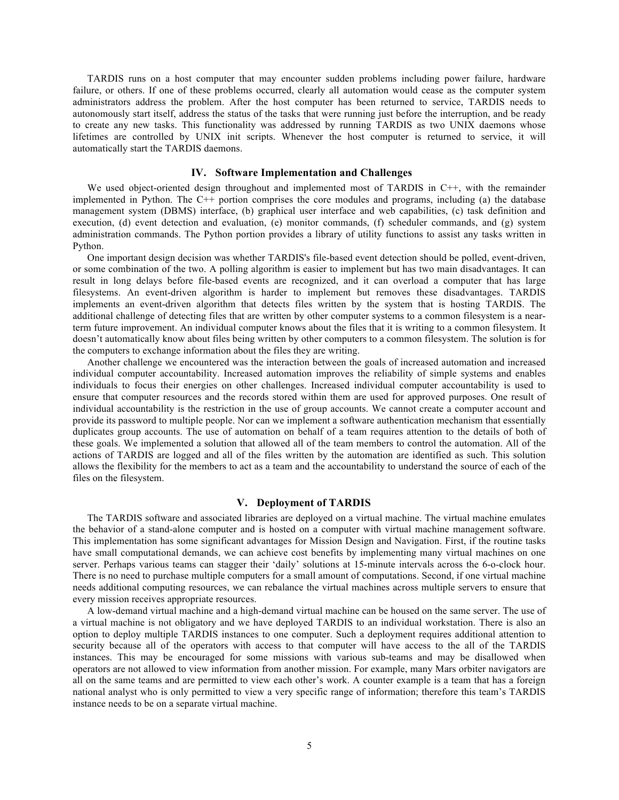TARDIS runs on a host computer that may encounter sudden problems including power failure, hardware failure, or others. If one of these problems occurred, clearly all automation would cease as the computer system administrators address the problem. After the host computer has been returned to service, TARDIS needs to autonomously start itself, address the status of the tasks that were running just before the interruption, and be ready to create any new tasks. This functionality was addressed by running TARDIS as two UNIX daemons whose lifetimes are controlled by UNIX init scripts. Whenever the host computer is returned to service, it will automatically start the TARDIS daemons.

#### **IV. Software Implementation and Challenges**

We used object-oriented design throughout and implemented most of TARDIS in C++, with the remainder implemented in Python. The C++ portion comprises the core modules and programs, including (a) the database management system (DBMS) interface, (b) graphical user interface and web capabilities, (c) task definition and execution, (d) event detection and evaluation, (e) monitor commands, (f) scheduler commands, and (g) system administration commands. The Python portion provides a library of utility functions to assist any tasks written in Python.

One important design decision was whether TARDIS's file-based event detection should be polled, event-driven, or some combination of the two. A polling algorithm is easier to implement but has two main disadvantages. It can result in long delays before file-based events are recognized, and it can overload a computer that has large filesystems. An event-driven algorithm is harder to implement but removes these disadvantages. TARDIS implements an event-driven algorithm that detects files written by the system that is hosting TARDIS. The additional challenge of detecting files that are written by other computer systems to a common filesystem is a nearterm future improvement. An individual computer knows about the files that it is writing to a common filesystem. It doesn't automatically know about files being written by other computers to a common filesystem. The solution is for the computers to exchange information about the files they are writing.

Another challenge we encountered was the interaction between the goals of increased automation and increased individual computer accountability. Increased automation improves the reliability of simple systems and enables individuals to focus their energies on other challenges. Increased individual computer accountability is used to ensure that computer resources and the records stored within them are used for approved purposes. One result of individual accountability is the restriction in the use of group accounts. We cannot create a computer account and provide its password to multiple people. Nor can we implement a software authentication mechanism that essentially duplicates group accounts. The use of automation on behalf of a team requires attention to the details of both of these goals. We implemented a solution that allowed all of the team members to control the automation. All of the actions of TARDIS are logged and all of the files written by the automation are identified as such. This solution allows the flexibility for the members to act as a team and the accountability to understand the source of each of the files on the filesystem.

### **V. Deployment of TARDIS**

The TARDIS software and associated libraries are deployed on a virtual machine. The virtual machine emulates the behavior of a stand-alone computer and is hosted on a computer with virtual machine management software. This implementation has some significant advantages for Mission Design and Navigation. First, if the routine tasks have small computational demands, we can achieve cost benefits by implementing many virtual machines on one server. Perhaps various teams can stagger their 'daily' solutions at 15-minute intervals across the 6-o-clock hour. There is no need to purchase multiple computers for a small amount of computations. Second, if one virtual machine needs additional computing resources, we can rebalance the virtual machines across multiple servers to ensure that every mission receives appropriate resources.

A low-demand virtual machine and a high-demand virtual machine can be housed on the same server. The use of a virtual machine is not obligatory and we have deployed TARDIS to an individual workstation. There is also an option to deploy multiple TARDIS instances to one computer. Such a deployment requires additional attention to security because all of the operators with access to that computer will have access to the all of the TARDIS instances. This may be encouraged for some missions with various sub-teams and may be disallowed when operators are not allowed to view information from another mission. For example, many Mars orbiter navigators are all on the same teams and are permitted to view each other's work. A counter example is a team that has a foreign national analyst who is only permitted to view a very specific range of information; therefore this team's TARDIS instance needs to be on a separate virtual machine.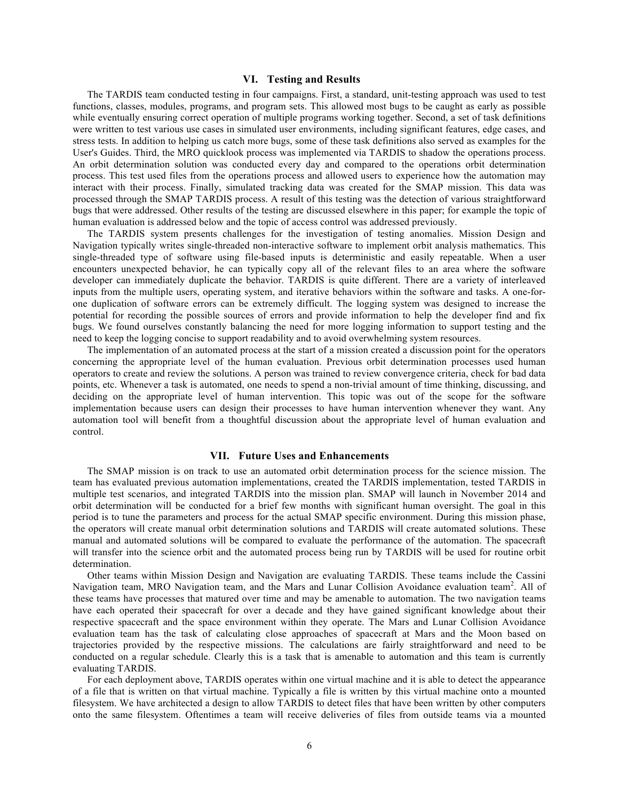#### **VI. Testing and Results**

The TARDIS team conducted testing in four campaigns. First, a standard, unit-testing approach was used to test functions, classes, modules, programs, and program sets. This allowed most bugs to be caught as early as possible while eventually ensuring correct operation of multiple programs working together. Second, a set of task definitions were written to test various use cases in simulated user environments, including significant features, edge cases, and stress tests. In addition to helping us catch more bugs, some of these task definitions also served as examples for the User's Guides. Third, the MRO quicklook process was implemented via TARDIS to shadow the operations process. An orbit determination solution was conducted every day and compared to the operations orbit determination process. This test used files from the operations process and allowed users to experience how the automation may interact with their process. Finally, simulated tracking data was created for the SMAP mission. This data was processed through the SMAP TARDIS process. A result of this testing was the detection of various straightforward bugs that were addressed. Other results of the testing are discussed elsewhere in this paper; for example the topic of human evaluation is addressed below and the topic of access control was addressed previously.

The TARDIS system presents challenges for the investigation of testing anomalies. Mission Design and Navigation typically writes single-threaded non-interactive software to implement orbit analysis mathematics. This single-threaded type of software using file-based inputs is deterministic and easily repeatable. When a user encounters unexpected behavior, he can typically copy all of the relevant files to an area where the software developer can immediately duplicate the behavior. TARDIS is quite different. There are a variety of interleaved inputs from the multiple users, operating system, and iterative behaviors within the software and tasks. A one-forone duplication of software errors can be extremely difficult. The logging system was designed to increase the potential for recording the possible sources of errors and provide information to help the developer find and fix bugs. We found ourselves constantly balancing the need for more logging information to support testing and the need to keep the logging concise to support readability and to avoid overwhelming system resources.

The implementation of an automated process at the start of a mission created a discussion point for the operators concerning the appropriate level of the human evaluation. Previous orbit determination processes used human operators to create and review the solutions. A person was trained to review convergence criteria, check for bad data points, etc. Whenever a task is automated, one needs to spend a non-trivial amount of time thinking, discussing, and deciding on the appropriate level of human intervention. This topic was out of the scope for the software implementation because users can design their processes to have human intervention whenever they want. Any automation tool will benefit from a thoughtful discussion about the appropriate level of human evaluation and control.

## **VII. Future Uses and Enhancements**

The SMAP mission is on track to use an automated orbit determination process for the science mission. The team has evaluated previous automation implementations, created the TARDIS implementation, tested TARDIS in multiple test scenarios, and integrated TARDIS into the mission plan. SMAP will launch in November 2014 and orbit determination will be conducted for a brief few months with significant human oversight. The goal in this period is to tune the parameters and process for the actual SMAP specific environment. During this mission phase, the operators will create manual orbit determination solutions and TARDIS will create automated solutions. These manual and automated solutions will be compared to evaluate the performance of the automation. The spacecraft will transfer into the science orbit and the automated process being run by TARDIS will be used for routine orbit determination.

Other teams within Mission Design and Navigation are evaluating TARDIS. These teams include the Cassini Navigation team, MRO Navigation team, and the Mars and Lunar Collision Avoidance evaluation team<sup>2</sup>. All of these teams have processes that matured over time and may be amenable to automation. The two navigation teams have each operated their spacecraft for over a decade and they have gained significant knowledge about their respective spacecraft and the space environment within they operate. The Mars and Lunar Collision Avoidance evaluation team has the task of calculating close approaches of spacecraft at Mars and the Moon based on trajectories provided by the respective missions. The calculations are fairly straightforward and need to be conducted on a regular schedule. Clearly this is a task that is amenable to automation and this team is currently evaluating TARDIS.

For each deployment above, TARDIS operates within one virtual machine and it is able to detect the appearance of a file that is written on that virtual machine. Typically a file is written by this virtual machine onto a mounted filesystem. We have architected a design to allow TARDIS to detect files that have been written by other computers onto the same filesystem. Oftentimes a team will receive deliveries of files from outside teams via a mounted